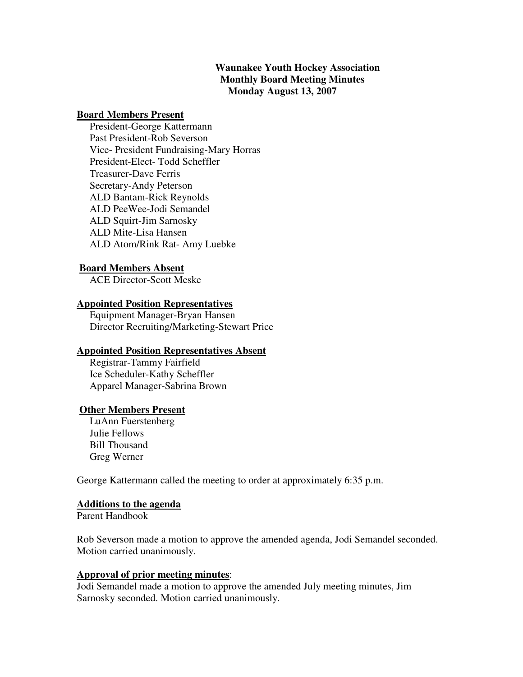# **Waunakee Youth Hockey Association Monthly Board Meeting Minutes Monday August 13, 2007**

## **Board Members Present**

 President-George Kattermann Past President-Rob Severson Vice- President Fundraising-Mary Horras President-Elect- Todd Scheffler Treasurer-Dave Ferris Secretary-Andy Peterson ALD Bantam-Rick Reynolds ALD PeeWee-Jodi Semandel ALD Squirt-Jim Sarnosky ALD Mite-Lisa Hansen ALD Atom/Rink Rat- Amy Luebke

## **Board Members Absent**

ACE Director-Scott Meske

## **Appointed Position Representatives**

 Equipment Manager-Bryan Hansen Director Recruiting/Marketing-Stewart Price

## **Appointed Position Representatives Absent**

 Registrar-Tammy Fairfield Ice Scheduler-Kathy Scheffler Apparel Manager-Sabrina Brown

## **Other Members Present**

 LuAnn Fuerstenberg Julie Fellows Bill Thousand Greg Werner

George Kattermann called the meeting to order at approximately 6:35 p.m.

## **Additions to the agenda**

Parent Handbook

Rob Severson made a motion to approve the amended agenda, Jodi Semandel seconded. Motion carried unanimously.

# **Approval of prior meeting minutes**:

Jodi Semandel made a motion to approve the amended July meeting minutes, Jim Sarnosky seconded. Motion carried unanimously.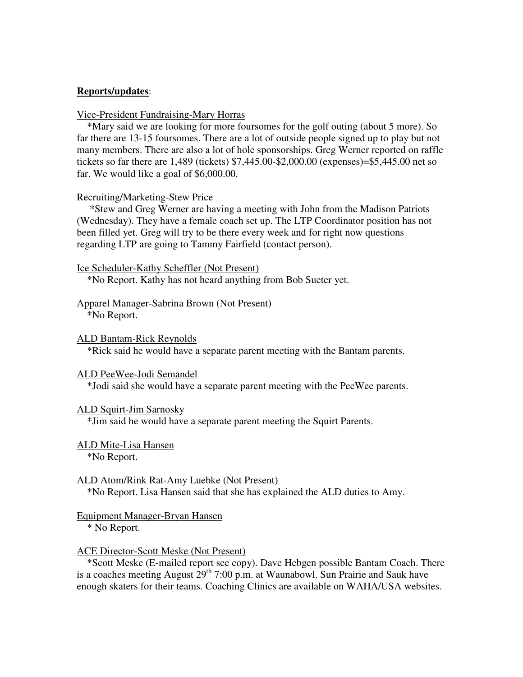## **Reports/updates**:

#### Vice-President Fundraising-Mary Horras

\*Mary said we are looking for more foursomes for the golf outing (about 5 more). So far there are 13-15 foursomes. There are a lot of outside people signed up to play but not many members. There are also a lot of hole sponsorships. Greg Werner reported on raffle tickets so far there are 1,489 (tickets) \$7,445.00-\$2,000.00 (expenses)=\$5,445.00 net so far. We would like a goal of \$6,000.00.

#### Recruiting/Marketing-Stew Price

 \*Stew and Greg Werner are having a meeting with John from the Madison Patriots (Wednesday). They have a female coach set up. The LTP Coordinator position has not been filled yet. Greg will try to be there every week and for right now questions regarding LTP are going to Tammy Fairfield (contact person).

Ice Scheduler-Kathy Scheffler (Not Present)

\*No Report. Kathy has not heard anything from Bob Sueter yet.

#### Apparel Manager-Sabrina Brown (Not Present)

\*No Report.

#### ALD Bantam-Rick Reynolds

\*Rick said he would have a separate parent meeting with the Bantam parents.

#### ALD PeeWee-Jodi Semandel

\*Jodi said she would have a separate parent meeting with the PeeWee parents.

#### ALD Squirt-Jim Sarnosky

\*Jim said he would have a separate parent meeting the Squirt Parents.

## ALD Mite-Lisa Hansen

\*No Report.

## ALD Atom/Rink Rat-Amy Luebke (Not Present)

\*No Report. Lisa Hansen said that she has explained the ALD duties to Amy.

## Equipment Manager-Bryan Hansen

\* No Report.

#### ACE Director-Scott Meske (Not Present)

 \*Scott Meske (E-mailed report see copy). Dave Hebgen possible Bantam Coach. There is a coaches meeting August  $29<sup>th</sup>$  7:00 p.m. at Waunabowl. Sun Prairie and Sauk have enough skaters for their teams. Coaching Clinics are available on WAHA/USA websites.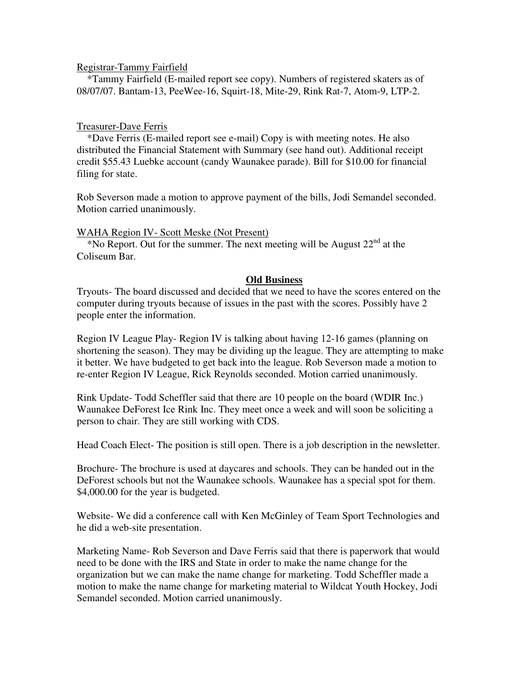## Registrar-Tammy Fairfield

 \*Tammy Fairfield (E-mailed report see copy). Numbers of registered skaters as of 08/07/07. Bantam-13, PeeWee-16, Squirt-18, Mite-29, Rink Rat-7, Atom-9, LTP-2.

## Treasurer-Dave Ferris

 \*Dave Ferris (E-mailed report see e-mail) Copy is with meeting notes. He also distributed the Financial Statement with Summary (see hand out). Additional receipt credit \$55.43 Luebke account (candy Waunakee parade). Bill for \$10.00 for financial filing for state.

Rob Severson made a motion to approve payment of the bills, Jodi Semandel seconded. Motion carried unanimously.

## WAHA Region IV- Scott Meske (Not Present)

\*No Report. Out for the summer. The next meeting will be August  $22<sup>nd</sup>$  at the Coliseum Bar.

## **Old Business**

Tryouts- The board discussed and decided that we need to have the scores entered on the computer during tryouts because of issues in the past with the scores. Possibly have 2 people enter the information.

Region IV League Play- Region IV is talking about having 12-16 games (planning on shortening the season). They may be dividing up the league. They are attempting to make it better. We have budgeted to get back into the league. Rob Severson made a motion to re-enter Region IV League, Rick Reynolds seconded. Motion carried unanimously.

Rink Update- Todd Scheffler said that there are 10 people on the board (WDIR Inc.) Waunakee DeForest Ice Rink Inc. They meet once a week and will soon be soliciting a person to chair. They are still working with CDS.

Head Coach Elect- The position is still open. There is a job description in the newsletter.

Brochure- The brochure is used at daycares and schools. They can be handed out in the DeForest schools but not the Waunakee schools. Waunakee has a special spot for them. \$4,000.00 for the year is budgeted.

Website- We did a conference call with Ken McGinley of Team Sport Technologies and he did a web-site presentation.

Marketing Name- Rob Severson and Dave Ferris said that there is paperwork that would need to be done with the IRS and State in order to make the name change for the organization but we can make the name change for marketing. Todd Scheffler made a motion to make the name change for marketing material to Wildcat Youth Hockey, Jodi Semandel seconded. Motion carried unanimously.